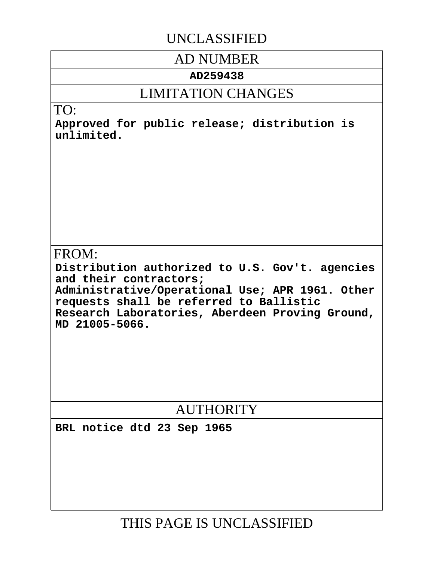# UNCLASSIFIED

# AD NUMBER

# **AD259438**

# LIMITATION CHANGES

# TO:

**Approved for public release; distribution is unlimited.**

# FROM:

**Distribution authorized to U.S. Gov't. agencies and their contractors; Administrative/Operational Use; APR 1961. Other requests shall be referred to Ballistic Research Laboratories, Aberdeen Proving Ground, MD 21005-5066.**

# **AUTHORITY**

**BRL notice dtd 23 Sep 1965**

THIS PAGE IS UNCLASSIFIED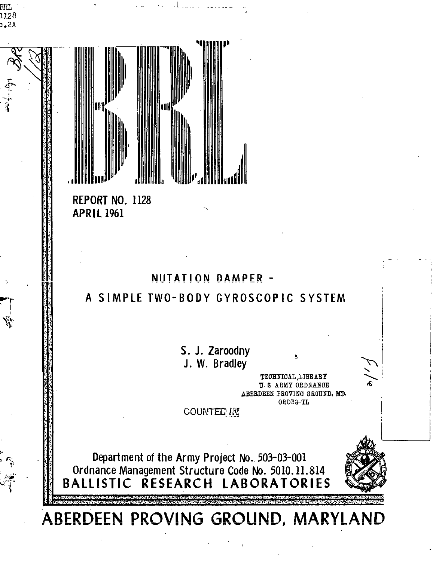

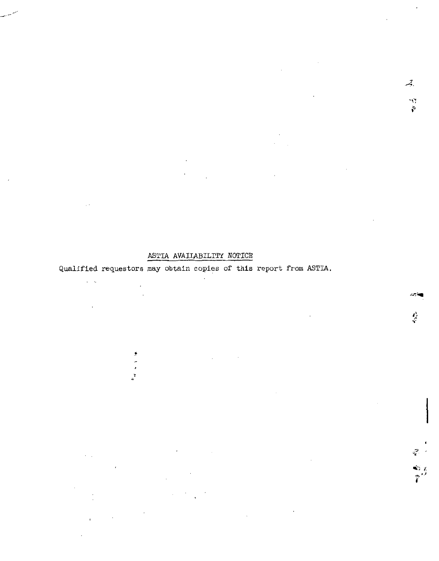# ASTIA AVAILABILITY NOTICE

 $\mathbf{r}$ 

 $\ddot{\phantom{a}}$ 

فيجسر

 $\frac{1}{2}$ 

 $\mathbf{r}$ 

# **Qualified requestors may obtain copies of this report from** ASTIA.

. %

J.

 $\sim$ 

 $\ddot{\phantom{a}}$  $\ddot{\cdot}$  $\sim$   $\lambda$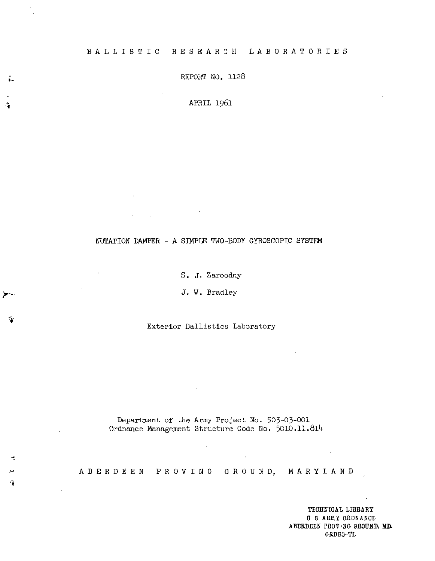# BALLISTIC RESEARCH LABORATORIES

## REPORT NO. 1128

ĥ.

Ž,

客

ч¢  $\ddot{\phantom{a}}$ ÷, APRIL 1961

# NUTATION DAMPER - A SIMPLE TWO-BODY GYROSCOPIC SYSTEM

 $\label{eq:2.1} \mathcal{L}(\mathcal{L}^{\text{max}}_{\mathcal{L}}(\mathcal{L}^{\text{max}}_{\mathcal{L}})) \leq \mathcal{L}(\mathcal{L}^{\text{max}}_{\mathcal{L}}(\mathcal{L}^{\text{max}}_{\mathcal{L}}))$ 

 $\mathbb{R}^2$ 

 $\sim 10^7$ 

S. J. Zaroodny

J. W. Bradley

Exterior Ballistics Laboratory

 $\sim 10^{-1}$ 

Department of the Army Project No. 503-03-001 Ordnance Management Structure Code No. 5010.11.814

 $\mathcal{L}_{\mathcal{L}}$ 

ABERDEEN PROVING GROUND, MARYLAND

 $\mathcal{A}$ 

**TEOHNIOAL LIBRARY U 8 AM? OEDNANCC ABEBDEEB PEOB** 8 **NO GBOUND, MD.**  ORDBG-TL

 $\sim$ 

 $\mathbf{r}$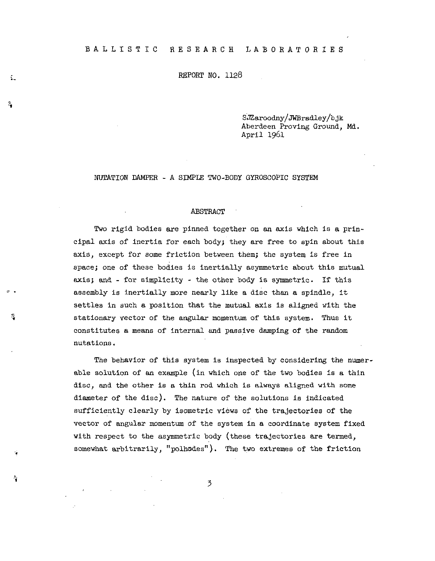REPORT NO. 1128

 $\mathbb{Z}_+$ 

्

 $SJZarodny/JWBradley/b, jk$ Aberdeen Proving Ground, **Md.**  April 1961

# NUPATION DAMPER - A SIMPLE TWO-BODY GYROSCOPIC SYSTEM

### ABSTRACT

Two rigid bodies are pinned together on an axis which is a principal axis of inertia for each body; they are free to spin about this axis, except for some friction between them; the system is free in space; one of these bodies is inertially asymmetric about this mutual axis; and - for simplicity - the other body is symmetric. If this assembly is inertially more nearly like a disc than a spindle, it settles in such a position that the mutual axis is aligned with the stationary vector of the angular momentum of this system. Thus it constitutes a means of internal and passive damping of the random nutations.

The behavior of this system is inspected by considering the numerable solution of an example (in which one of the two bodies is a thin disc, and the other is a thin rod which is always aligned with some diameter of the disc). The nature of the solutions is indicated sufficiently clearly by isometric views of the trajectories of the vector of angular momentum of the system in a coordinate system fixed with respect to the asymmetric body (these trajectories are termed, somewhat arbitrarily, "polhodes"). The two extremes of the friction

3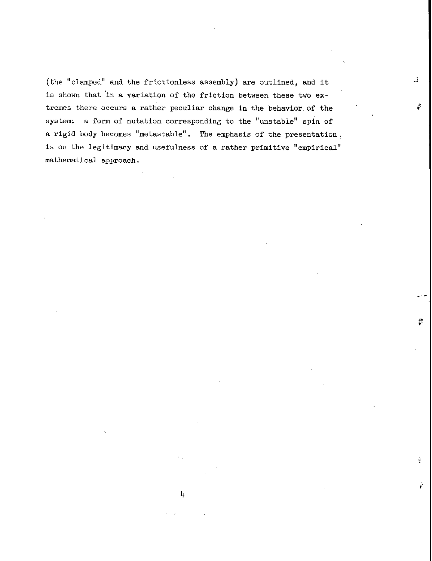(the "clamped" and the frictionless assembly) are outlined, and it is shown that 'in a variation of the friction between these two extremes there occurs a rather peculiar change in the behavior of the system: a form of nutation corresponding to the "unstable" spin of a rigid body becomes "metastable". The emphasis of the presentation, is on the legitimacy and usefulness of a rather primitive "empirical" mathematical approach.

4

2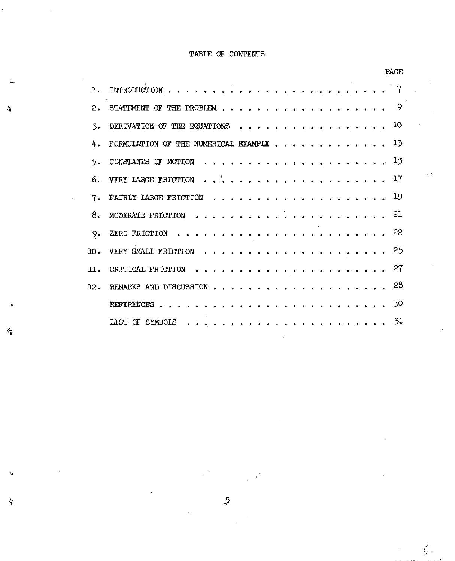# TABLE OF CONTENTS

 $\mathbb{L}_n$ 

 $\mathbf{\hat{q}}$ 

 $\epsilon$ 

 $\zeta$ 

 $\hat{\mathbf{v}}$ 

|          |                                      | PAGE |
|----------|--------------------------------------|------|
| 1.       |                                      |      |
| $2\cdot$ |                                      | 9    |
| 3.       | DERIVATION OF THE EQUATIONS          | 10   |
| 4.       | FORMULATION OF THE NUMERICAL EXAMPLE | 13   |
| 5.       | CONSTANTS OF MOTION                  |      |
| 6.       |                                      | 17   |
| 7.       | FAIRLY LARGE FRICTION                | 19   |
| 8.       | MODERATE FRICTION                    | 21   |
| 9.       | ZERO FRICTION<br>.                   | 22   |
| 10.      | VERY SMALL FRICTION                  | -25  |
| 11.      |                                      | 27   |
| 12.      |                                      | 28   |
|          |                                      | -30  |
|          | LIST OF SYMBOLS                      | 31   |

 $\overline{5}$ 

 $\zeta$  .

 $\bar{z}$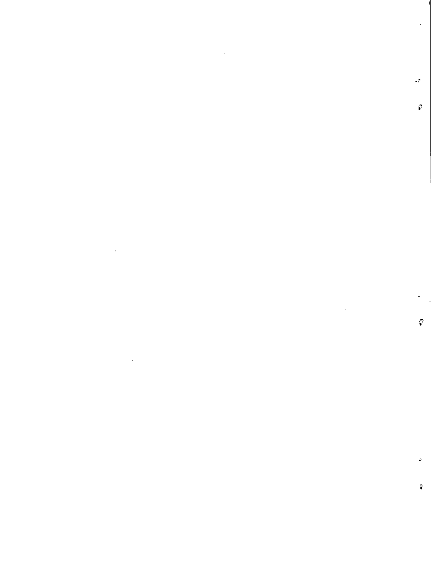$\label{eq:2.1} \mathcal{L}(\mathcal{L}) = \mathcal{L}(\mathcal{L}) \mathcal{L}(\mathcal{L}) = \mathcal{L}(\mathcal{L}) \mathcal{L}(\mathcal{L})$ 

4

 $\gamma$ 

 $\hat{\mathcal{C}}$ 

 $\label{eq:2.1} \frac{1}{2} \sum_{i=1}^n \frac{1}{2} \sum_{j=1}^n \frac{1}{2} \sum_{j=1}^n \frac{1}{2} \sum_{j=1}^n \frac{1}{2} \sum_{j=1}^n \frac{1}{2} \sum_{j=1}^n \frac{1}{2} \sum_{j=1}^n \frac{1}{2} \sum_{j=1}^n \frac{1}{2} \sum_{j=1}^n \frac{1}{2} \sum_{j=1}^n \frac{1}{2} \sum_{j=1}^n \frac{1}{2} \sum_{j=1}^n \frac{1}{2} \sum_{j=1}^n \frac{$ 

 $\mathcal{L}(\mathcal{L}(\mathcal{L}(\mathcal{L}(\mathcal{L}(\mathcal{L}(\mathcal{L}(\mathcal{L}(\mathcal{L}(\mathcal{L}(\mathcal{L}(\mathcal{L}(\mathcal{L}(\mathcal{L}(\mathcal{L}(\mathcal{L}(\mathcal{L}(\mathcal{L}(\mathcal{L}(\mathcal{L}(\mathcal{L}(\mathcal{L}(\mathcal{L}(\mathcal{L}(\mathcal{L}(\mathcal{L}(\mathcal{L}(\mathcal{L}(\mathcal{L}(\mathcal{L}(\mathcal{L}(\mathcal{L}(\mathcal{L}(\mathcal{L}(\mathcal{L}(\mathcal{L}(\mathcal{$ 

 $\label{eq:2.1} \frac{1}{\sqrt{2}}\int_{\mathbb{R}^3}\frac{1}{\sqrt{2}}\left(\frac{1}{\sqrt{2}}\right)^2\frac{1}{\sqrt{2}}\left(\frac{1}{\sqrt{2}}\right)^2\frac{1}{\sqrt{2}}\left(\frac{1}{\sqrt{2}}\right)^2\frac{1}{\sqrt{2}}\left(\frac{1}{\sqrt{2}}\right)^2.$ 

 $\label{eq:2.1} \mathcal{L}(\mathcal{L}(\mathcal{L})) = \mathcal{L}(\mathcal{L}(\mathcal{L})) = \mathcal{L}(\mathcal{L}(\mathcal{L})) = \mathcal{L}(\mathcal{L}(\mathcal{L})) = \mathcal{L}(\mathcal{L}(\mathcal{L})) = \mathcal{L}(\mathcal{L}(\mathcal{L})) = \mathcal{L}(\mathcal{L}(\mathcal{L})) = \mathcal{L}(\mathcal{L}(\mathcal{L})) = \mathcal{L}(\mathcal{L}(\mathcal{L})) = \mathcal{L}(\mathcal{L}(\mathcal{L})) = \mathcal{L}(\mathcal{L}(\mathcal{L})) = \math$ 

 $\mathcal{Z}$ ę.  $\mathcal{L}(\mathcal{L}(\mathcal{L}))$  and  $\mathcal{L}(\mathcal{L}(\mathcal{L}))$  . The contribution of the contribution of  $\mathcal{L}(\mathcal{L})$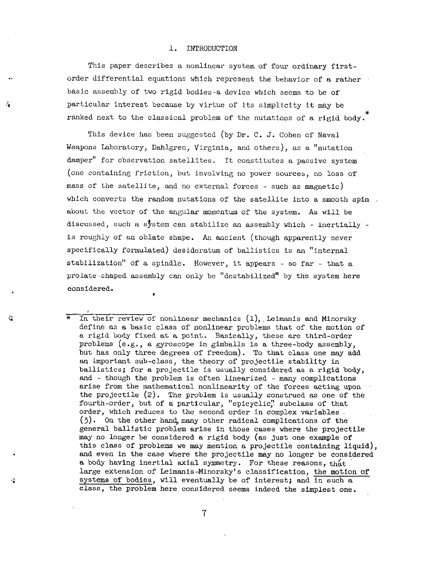#### $1.$ INTRODUCTION

This paper describes a nonlinear system of four ordinary firstorder differential equations which represent the behavior of a rather basic assembly of two rigid bodies-a device which seems to be of particular interest because by virtue of its simplicity it may be **Y**  ranked next to the classical problem of the nutations of a rigid body.

This device has been suggested (by Dr. C. J. Cohen of Naval Weapons Laboratory, Dahlgren, Virginia, and others), as a "nutation damper" for observation satellites. It constitutes a passive system (one containing friction, but involving no power sources, no loss of mass of the satellite, and no external forces - such as magnetic) which converts the random nutations of the satellite into a smooth spin. about the vector of the angular momentum of the system. As will be discussed, such a system can stabilize an assembly which - inertially is roughly of an oblate shape. An ancient (though apparently never specifically formulated) desideratum of ballistics is an "internal stabilization" of a spindle. However, it appears - so far - that a prolate shaped assembly can only be "destabilized" by the system here considered. **t** 

 $\overline{7}$ 

In their review of nonlinear mechanics (1), Leimanis and Minorsky define as a basic class of nonlinear problems that of the motion of a rigid body fixed at a point. Basically, these are third-order problems (e.g., a gyroscope in gimballs is a three-body assembly, but has only three degrees of freedom). To that class one may add an important sub-class, the theory of projectile stability in ballisticsj for a projectile is usually considered as a rigid body, and - though the problem is often linearized - many complications arise from the mathematical nonlinearity of the forces acting upon the projectile (2). The problem is usually construed as one of the fourth-order, but of a particular, "epicyclic" subclass of that order, which reduces to the second order in complex variables. **(3).** On the other hand,,many other radical complications of the general ballistic problem arise in those cases where the projectile may no longer be considered a rigid body (as just one example of this class of problems we may mention a projectile containing liquid), and even in the case where the projectile may no longer be considered a body having inertial axial symmetry. For these reasons,  $that$ large extension of Leimanis-Minorsky's classification, the motion of systems of bodies, will eventually be of interest; and in such a class, the problem here considered seems indeed the simplest one.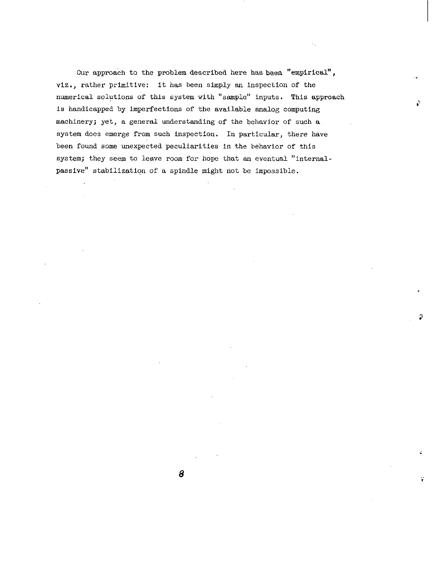*Our* approach to the problem described here has been "empirical", viz., rather primitive: it has been simply an inspection of the numerical solutions of this system with "semple" inputs. This approach is handicapped by imperfections of the available analog computing machinery; yet, a general understanding of the behavior of such a system does emerge from such inspection. In particular, there have been found some unexpected peculiarities in the behavior of this system; they seem to leave room for hope that an eventual "internalpassive" stabilization of a spindle might not be impossible.

8

Ż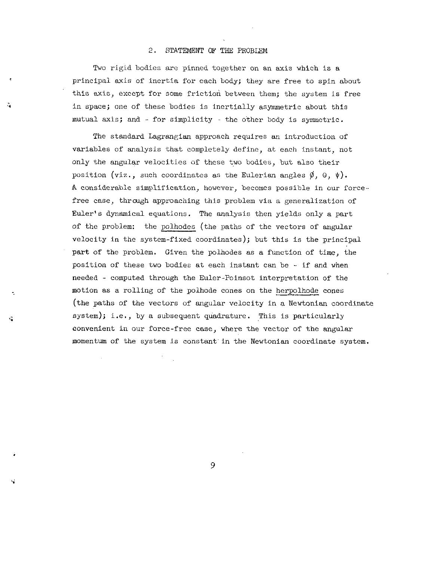### 2. **STATEMENT** OF THE PROBLEM

Two rigid bodies are pinned together on an axis which is a principal axis of inertia for each body; they are free to spin about this axis, except for some friction between them; the system is free in space; one of these bodies is inertially asymmetric about this mutual axis; and - for simplicity - the other body is symmetric.

The standard Lagrangian approach requires an introduction of variables of analysis that completely define, at each instant, not only the angular velocities of these two bodies, but also their position (viz., such coordinates as the Eulerian angles  $\emptyset$ ,  $\Theta$ ,  $\psi$ ). A considerable simplification, however, becomes possible in our force-. free case, through approaching this problem via a generalization of Euler's dynamical equations. The analysis then yields only a part of the problem: the polhodes (the paths of the vectors of angular velocity in the system-fixed coordinates); but this is the principal part of the problem. Given the polhodes as a function of time, the position of these two bodies at each instant can be - if and when needed - computed through the Euler-Poinsot interpretation of the motion as a rolling of the polhode cones on the herpolhode cones (the paths of the vectors of angular velocity in a Newtonian coordinate system); i.e., by a subsequent quadrature. This is particularly convenient in our force-free case, where the vector of the angular momentum of the system is constant' in the Newtonian coordinate system.

9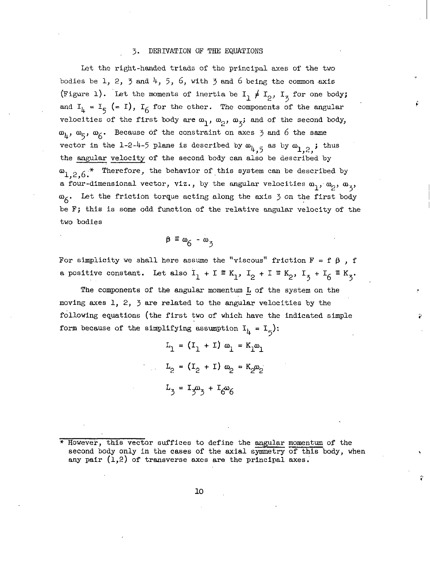## **3.** DERIVATION OF THE EQUATIONS

Let the right-handed triads of the principal axes of the two bodies be 1, 2, 3 and 4, *5,* 6, with *3* and 6 being the common axis (Figure 1). Let the moments of inertia be  $I_1 \neq I_2$ ,  $I_3$  for one body; and  $I_{\mu} = I_5$  (= I),  $I_6$  for the other. The components of the angular velocities of the first body are  $\omega_1$ ,  $\omega_2$ ,  $\omega_3$ ; and of the second body,  $\omega_{\mu}$ ,  $\omega_{5}$ ,  $\omega_{6}$ . Because of the constraint on axes 3 and 6 the same vector in the 1-2-4-5 plane is described by  $\omega_{1,5}$  as by  $\omega_{1,2}$ , thus the angular velocity of the second body can also be described by  $\omega_{1,2,6}$ .<sup>\*</sup> Therefore, the behavior of this system can be described by a four-dimensional vector, viz., by the angular velocities  $\omega_1$ ,  $\omega_2$ ,  $\omega_3$ ,  $\omega_{6}$ . Let the friction torque acting along the axis 3 on the first body be F; this is some odd function of the relative angular velocity of the two bodies

$$
\beta \equiv \omega_6 - \omega_3
$$

For simplicity we shall here assume the "viscous" friction  $F = f \beta$ , f a positive constant. Let also  $I_1 + I \equiv K_1$ ,  $I_2 + I \equiv K_2$ ,  $I_3 + I_6 \equiv K_3$ .

The components of the angular momentum  $L$  of the system on the moving axes  $1, 2, 3$  are related to the angular velocities by the following equations (the first two of which have the indicated simple form because of the simplifying assumption  $I_{\mu} = I_{\kappa}$ ):

$$
L_1 = (I_1 + I) \omega_1 = K_1 \omega_1
$$
  

$$
L_2 = (I_2 + I) \omega_2 = K_2 \omega_2
$$
  

$$
L_3 = I_3 \omega_3 + I_6 \omega_6
$$

\* However, this vector suffices to define the angular momentum of the second body only in the cases of the axial symmetry of this body, when any pair  $(1,2)$  of transverse axes are the principal axes.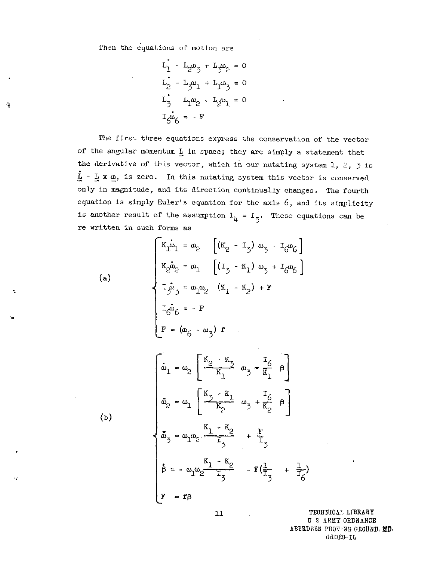Then the equations of motion are

$$
L_1 - L_2 \omega_3 + L_3 \omega_2 = 0
$$
  

$$
L_2 - L_3 \omega_1 + L_1 \omega_3 = 0
$$
  

$$
L_3 - L_1 \omega_2 + L_2 \omega_1 = 0
$$
  

$$
L_3 \omega_6 = -F
$$

The first three equations express the conservation of the vector of the angular momentum  $L$  in space; they are simply a statement that the derivative of this vector, which in our nutating system 1, 2, 3 is  $\underline{\mathbf{L}}$  -  $\underline{\mathbf{L}}$  x  $\underline{\mathbf{w}}$ , is zero. In this nutating system this vector is conserved only in magnitude, and its direction continually changes. The fourth equation is simply Euler's equation for the axis 6, and its simplicity is another result of the assumption  $I_{\mu} = I_5$ . These equations can be re-written in such forms as

$$
\begin{bmatrix}\nK_1 \dot{\omega}_1 = \omega_2 \quad [\left(K_2 - I_3\right) \omega_3 - I_6 \omega_6\n\end{bmatrix}
$$
\n
$$
K_2 \dot{\omega}_2 = \omega_1 \quad [\left(I_3 - K_1\right) \omega_3 + I_6 \omega_6\n\end{bmatrix}
$$
\n
$$
I_3 \dot{\omega}_3 = \omega_1 \omega_2 \quad (K_1 - K_2) + F
$$
\n
$$
I_6 \dot{\omega}_6 = -F
$$
\n
$$
F = (\omega_6 - \omega_3) f
$$

 $(a)$ 

 $(b)$ 

**TFOHNICAL LIBBABY U S ARMY OEDNANOE**  AREEDEEN **PCOV 1x0 QDOUND, HD:**  ORDBG-TL

$$
^{11}
$$

 $= f\beta$ 

 $\begin{bmatrix}\n\dot{\omega}_1 = \omega_2 \begin{bmatrix}\n\frac{K_2 - K_3}{K_1} & \omega_3 - \frac{I_6}{K_1} & \beta\n\end{bmatrix} \\
\dot{\omega}_2 = \omega_1 \begin{bmatrix}\n\frac{K_3 - K_1}{K_2} & \omega_3 + \frac{I_6}{K_2} & \beta\n\end{bmatrix} \\
\dot{\omega}_3 = \omega_1 \omega_2 \frac{K_1 - K_2}{I_3} + \frac{F}{I_3} \\
\dot{\beta} = -\omega_1 \omega_2 \frac{K_1 - K_2}{I_3} - F(\frac{1}{I_3} + \frac{1}{I_6$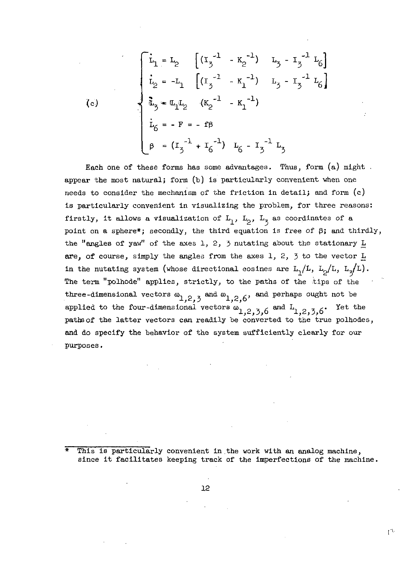(c)  

$$
\begin{bmatrix}\n\dot{L}_1 = L_2 & \left[ (L_3^{-1} - K_2^{-1}) & L_3 - L_3^{-1} & L_6 \right] \\
\dot{L}_2 = -L_1 & \left[ (L_3^{-1} - K_1^{-1}) & L_3 - L_3^{-1} & L_6 \right] \\
\dot{L}_3 = L_1 L_2 & (K_2^{-1} - K_1^{-1}) & \\
\dot{L}_6 = -F = -f\beta & \\
\beta = (L_3^{-1} + L_6^{-1}) & L_6 - L_3^{-1} & L_3\n\end{bmatrix}
$$

Each one of these forms has some advantages. Thus, form  $(a)$  might. appear the most natural; form (b) is particularly convenient when one needs to consider the mechanism of the friction in detail; and form  $(c)$ is particularly convenient in visualizing the problem, for three reasons: firstly, it allows a visualization of  $L_1$ ,  $L_2$ ,  $L_3$  as coordinates of a point on a sphere\*; secondly, the third equation is free of **p;** and thirdly, the "angles of yaw" of the axes 1, 2, 3 nutating about the stationary  $L$ are, of course, simply the angles from the axes 1, 2,  $\frac{1}{2}$  to the vector L in the nutating system (whose directional cosines are  $L_1/L$ ,  $L_2/L$ ,  $L_3/L$ ). The term "polhode" applies, strictly, to the paths of the tips of the three-dimensional vectors  $\omega_{1,2,5}$  and  $\omega_{1,2,6}'$ , and perhaps ought not be applied to the four-dimensional vectors  $\omega_{1,2,3,6}$  and  $L_{1,2,3,6}$ . Yet the  $,2,5,6$  1,2,3,6 paths of the latter vectors can readily be converted to the true polhodes, and do specify the behavior of the system sufficiently clearly for our purposes.

This is particularly convenient in the work with an analog machine, since it facilitates keeping track of the imperfections of the machine.

 $\mathbf{I}^{\mathcal{A}}$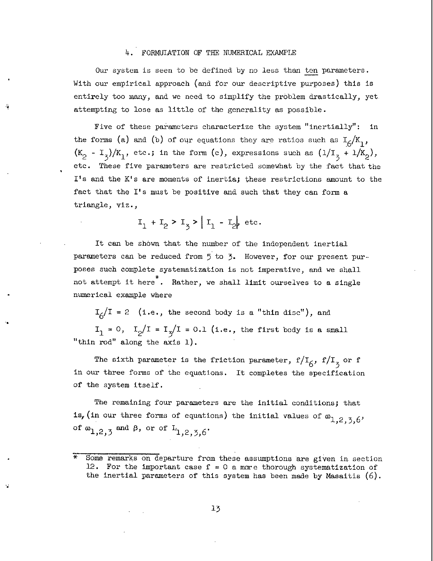# 4. FORMULATION OF THE NUMERICAL EXAMPLE

Our system is seen to be defined by no less than ten parameters. With our empirical approach (and for our descriptive purposes) this is entirely too many, and we need to simplify the problem drastically, yet attempting to lose as little of the generality as possible.

Five of these parameters characterize the system "inertially": in the forms (a) and (b) of our equations they are ratios such as  $I_6/K_1$ ,  $(K_2 - I_3)/K_1$ , etc.; in the form (c), expressions such as  $(1/I_3 + 1/K_2)$ , etc. These five parameters are restricted somewhat by the fact that the 1's and the K's are moments of inertia; these restrictions amount to the fact that the 1's must be positive and such that they can form a triangle, viz.,

$$
I_1 + I_2 > I_3 > | I_1 - I_2 | \text{ etc.}
$$

It can be shown that the number of the independent inertial parameters can be reduced from *5* to 3. However, for our present purposes such complete systematization is not imperative, and we shall not attempt it here". Rather, we shall limit ourselves to a single numerical example where

 $I_f/I = 2$  (i.e., the second body is a "thin disc"), and  $I_1 = 0$ ,  $I_2/I = I_3/I = 0.1$  (i.e., the first body is a small "thin rod" along the axis 1).

The sixth parameter is the friction parameter,  $f/I_6$ ,  $f/I_7$  or f in our three forms of the equations. It completes the specification of the system itself.

The remaining four parameters are the initial conditions; that is, (in our three forms of equations) the initial values of  $\omega_{1,2,5,6'}$ of  $\omega_{1,2,5}$  and  $\beta$ , or of  $L_{1,2,5,6}$ .

Some remarks on departure from these assumptions are given in section 12. For the important case  $f = 0$  a more thorough systematization of the inertial parameters of this system has been made by Masaitis  $(6)$ .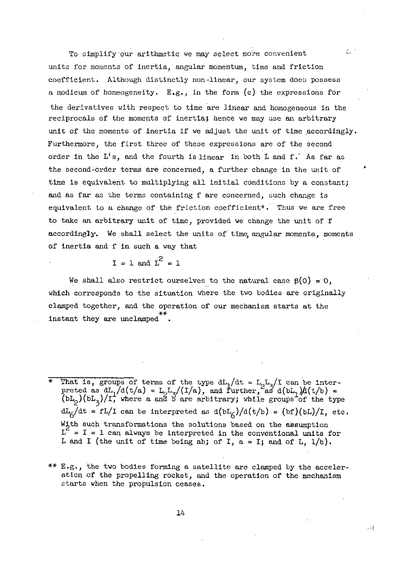, . To simplify our arithmetic we may select more convenient units for moments of inertia, angular momentum, time and friction coefficient. Although distinctly non-linear, our system does possess a modicum of homeogeneity.  $E_{\bullet}g_{\bullet}$ , in the form (c) the expressions for the derivatives with respect to time are linear and homogeneous in the reciprocals of the moments of inertia; hence we may use an arbitrary unit of the moments of inertia if we adjust the unit of time accordingly. Furthermore, the first three of these expressions are of the second order in the  $L^{i}$ s, and the fourth is linear in both L and f. As far as the second-order terms are concerned, a further change in the unit of time is equivalent to multiplying all initial conditions by a constant; and as far as the terms containing f are concerned, such change is equivalent to a change of the friction coefficient\*. Thus we are free to take an arbitrary unit of time, provided we change the unit of **f**  accordingly. We shall select the units of time angular momenta, moments of inertia and f in such a way that

 $I = 1$  and  $I^2 = 1$ 

We shall also restrict ourselves to the natural case  $\beta(0) = 0$ , which corresponds to the situation where the two bodies are originally clamped together, and the operation of our mechanism starts at the  $\stackrel{**}{\phantom{*}}$ instant they are unclamped.

\* That is, groups of terms of the type  $dL_1/dt = L_2L_3/I$  can be inter-<br>preted as  $dL_1/d(t/a) = L_2L_3/(I/a)$ , and further, as  $d(bL_1)d(t/b) =$  $(bL_2)(bL_3)/I$ , where a and B are arbitrary; while groups of the type  $dL_f/dt = fL/T$  can be interpreted as  $d(bL_f)/d(t/b) = (bf)(bL)/T$ , etc. With such transformations the solutions based on the assumption  $L^{\sim}$  = I = 1 can always be interpreted in the conventional units for L and I (the unit of time being ab; of I,  $a = I$ ; and of L,  $1/b$ ).

\*\* E.g., the two bodies forming a satellite are clamped by the acceleration of the propelling rocket, and the operation of the mechanism starts when the propulsion ceases.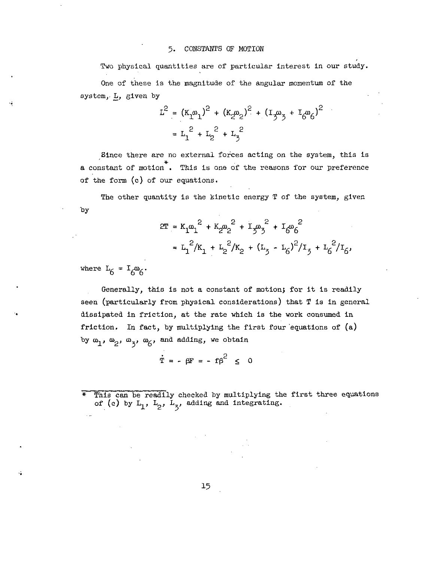Two physical quantities are of particular interest in our study.

One of these is the magnitude of the angular momentum of the system, L, given by

$$
L^{2} = (K_{1}\omega_{1})^{2} + (K_{2}\omega_{2})^{2} + (I_{3}\omega_{3} + I_{6}\omega_{6})^{2}
$$

$$
= L_{1}^{2} + L_{2}^{2} + L_{3}^{2}
$$

Since there are no external forces acting on the system, this is a constant of motion . This is one of the reasons for our preference of the form (c) of our equations.

The other quantity is the kinetic energy  $T$  of the system, given by

$$
2T = K_1 \omega_1^2 + K_2 \omega_2^2 + I_3 \omega_3^2 + I_6 \omega_6^2
$$
  
=  $L_1^2 / K_1 + L_2^2 / K_2 + (L_3 - L_6)^2 / I_5 + L_6^2 / I_6$ 

where  $L_6 = I_6 \omega_6$ .

v)

Generally, this is not a constant of motion; for it is readily seen (particularly from physical considerations) that T is in general dissipated in friction, at the rate which is the work consumed in friction. In fact, by multiplying the first four 'equations of (a) by  $\omega_1$ ,  $\omega_2$ ,  $\omega_3$ ,  $\omega_6$ , and adding, we obtain

 $\dot{T} = -\beta F = -f\beta^2 \leq 0$ 

\* This can be readily checked by multiplying the first three equations of (c) by  $L_1$ ,  $L_2$ ,  $L_3$ , adding and integrating.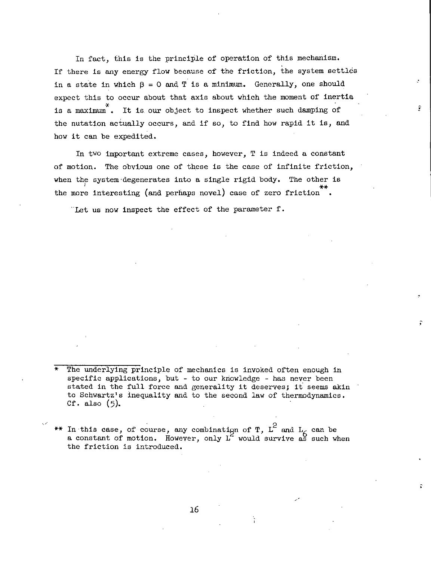In fact, this is the principle of operation of this mechanism. If there is any energy flow because of the friction, the system settles in a state in which  $\beta = 0$  and  $T$  is a minimum. Generally, one should expect this to occur about that axis about which the moment of inertia is a maximum<sup>\*</sup>. It is our object to inspect whether such damping of the nutation actually occurs, and if so, to find how rapid it is, and how it can be expedited.

 $\hat{\boldsymbol{\varphi}}$ 

In two important extreme cases, however, T is indeed a constant of motion. The obvious one of these is the case of infinite friction, when the system degenerates into a single rigid body. The other is the more interesting (and perhaps novel) case of zero friction  $**$ .

Thet us now inspect the effect of the parameter  $f$ .

The underlying principle of mechanics is invoked often enough in specific applications, but - to our knowledge - has never been stated in the full force and generality it deserves; it seems akin to Schwartz's inequality and to the second law of thermodynamics. Cf. also  $(5)$ .

<sup>&</sup>lt;sup>2</sup> \*\* In this case, of course, any combinatign of T,  $L^2$  and  $L_6$  can be a constant of motion. However, only L would survive as such when the friction is introduced.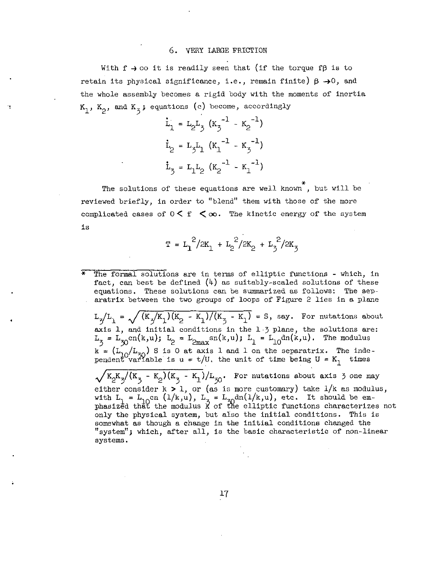### 6. VERY URGE FRICTION

With  $f \rightarrow \infty$  it is readily seen that (if the torque  $f\beta$  is to retain its physical significance, i.e., remain finite)  $\beta \rightarrow 0$ , and the whole assembly becomes a rigid body with the moments of inertia  $K_1$ ,  $K_2$ , and  $K_3$ ; equations (c) become, accordingly

$$
\begin{aligned}\n\dot{\mathbf{L}}_1 &= \mathbf{L}_2 \mathbf{L}_3 \left( \mathbf{K}_3^{-1} - \mathbf{K}_2^{-1} \right) \\
\dot{\mathbf{L}}_2 &= \mathbf{L}_3 \mathbf{L}_1 \left( \mathbf{K}_1^{-1} - \mathbf{K}_3^{-1} \right) \\
\dot{\mathbf{L}}_3 &= \mathbf{L}_1 \mathbf{L}_2 \left( \mathbf{K}_2^{-1} - \mathbf{K}_1^{-1} \right)\n\end{aligned}
$$

The solutions of these equations are well known<sup>\*</sup>, but will be reviewed briefly, in order to "blend" them with those of the more complicated cases of  $0 < f < \infty$ . The kinetic energy of the system is

$$
\text{T} = \text{L}_1^2 / 2 \text{K}_1 + \text{L}_2^2 / 2 \text{K}_2 + \text{L}_3^2 / 2 \text{K}_3
$$

The formal solutions are in terms of elliptic functions - which, in fact, can best be defined  $(4)$  as suitably-scaled solutions of these equations. These solutions can be summarized as follows: The eevaratrix between the two groups of loops of Figure 2 lies in a plane

 $L_{z}/L_{1} = \sqrt{(K_{z}/K_{1})(K_{2} - K_{1})/(K_{z} - K_{1})} = S$ , say. For nutations about  $\begin{array}{c} 7 & 1 & 3 & 1 \\ 2 & 1 & 3 & 1 \end{array}$  axis 1, and initial conditions in the 1-3 plane, the solutions are:  $L_5 = L_{\text{20}} \text{cn}(k,u);$   $L_2 = L_{\text{2max}} \text{sn}(k,u);$   $L_1 = L_{10} \text{dn}(k,u).$  The modulus  $k = (L_{10}/L_{30})$  S is 0 at axis 1 and 1 on the separatrix. The independent variable is  $u = t/U$ , the unit of time being  $U = K_1$  times  $\sqrt{K_{2}K_{3}}/(K_{3} - K_{2})(K_{3} - K_{1})/L_{30}$ . For nutations about axis 3 one may either consider k <sup>&</sup>gt;1, or (as is more customary) take **l/k** as modulus, with  $L_1 = L_{10}$ cn  $(1/k, u)$ ,  $L_2 = L_{20}$ dn $(1/k, u)$ , etc. It should be emphasized that the modulus **R** of the elliptic functions characterizes not only the physical system, but also the initial conditions. This is

somewhat as though a change in the initial conditions changed the "system"; which, after all, is the basic characteristic of non-linear systems.

 $17$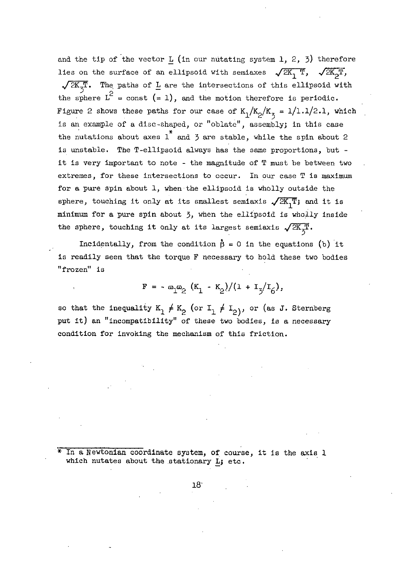and the tip of the vector L (in our nutating system 1, 2, 3) therefore lies on the surface of an ellipsoid with semiaxes  $\sqrt{2K_{1}T}$ ,  $\sqrt{2K_{2}T}$ ,  $\sqrt{2K_{z}T}$ . The paths of L are the intersections of this ellipsoid with the sphere  $L^2$  = const  $(= 1)$ , and the motion therefore is periodic. Figure 2 shows these paths for our case of  $K_1/K_2/K_3 = 1/1.1/2.1$ , which is an example of a disc-shaped, or "oblate", assembly; in this case the nutations about axes  $\overrightarrow{l}$  and 3 are stable, while the spin about 2 is unstable. The T-ellipsoid always has the same proportions, but it is very important to note - the magnitude of T must be between two extremes, for these intersections to occur. In our case T is maximum for a pure spin about  $1$ , when the ellipsoid is wholly outside the sphere, touching it only at its smallest semiaxis  $\sqrt{2K,T}$ ; and it is minimum for a pure spin about *3,* when the ellipsoid is whofly inside minimum for a pure spin about 3, when the ellipsoid is wholly in the sphere, touching it only at its largest semiaxis  $\sqrt{2K}$ <sup>T</sup>.

Incidentally, from the condition  $\dot{\beta} = 0$  in the equations (b) it is readily seen that the torque F necessary to hold these two bodies "frozen" is

 $F = -\omega_1 \omega_2 (K_1 - K_2)/(1 + I_2/I_6),$ 

so that the inequality  $K_1 \neq K_2$  (or  $I_1 \neq I_2$ ), or (as J. Sternberg put it) an "incompatibility" of these two bodies, is a necessary condition for invoking the mechanism of this friction.

\* In a Newtonian coordinate system, of course, it is the axis 1 which nutates about the stationary L; etc.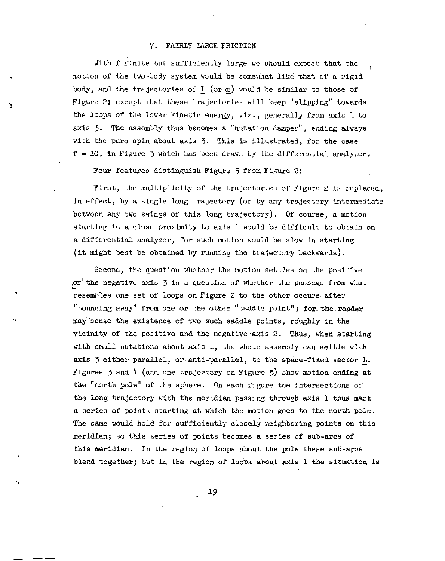# 7. FAIRLY **LARGE** FRICTION

With f finite but sufficiently large we should expect that the ! motion of the two-body system would be somewhat like that of a rigid body, and the trajectories of  $L$  (or  $\omega$ ) would be similar to those of Figure 23 except that these trajectories will keep "slipping" towards the loops of the lower kinetic energy, viz., generally from axis 1 to axis *3.* The assembly thus becomes a "nutation damper", ending always with the pure spin about axis 3. This is illustrated, for the case f = 10, in Figure **3** which has been drawn by the differential. analyzer.

Four features distinguish Figure 3 from Figure 2:

First, the multiplicity of the trajectories of Figure 2 is replaced, in effect, by a single long trajectory (or by any trajectory intermediate between any two swings of this long trajectory). Of course, a motion starting in a close proximity to axis 1 would be' difficult to obtain on a differential analyzer, for such motion would be slow in starting (it might best be obtained by running the trajectory backwards).

Second, the question whether the motion settles on the positive or'the negative axis 3 is a question of whether the passage from what resembles one set of loops on Figure 2 to the other occurs after "bouncing away" from one or the other "saddle point"; for the reader may'sense the existence of two such saddle points, roughly in the vicinity of the positive and the negative axis 2. Thus, when starting with small nutations about axis 1, the whole assembly can settle with axis *3* either parallel, or anti-parallel, to the space-fixed vector L. Figures **3** and 4 (and one trajectory on Figure *5)* show motion ending at the "north pole" of the sphere. On each figure the intersections of the long trajectory with the meridian passing through axis 1 thus **mark**  a series of points starting at which the motion goes to the north pole. The same would hold for sufficiently closely neighboring points on this meridian; so this series of points becomes a series of sub-arcs of this meridian. In the region of loops about the pole these sub-arcs blend together; but in the region of loops about axis 1 the situation is

19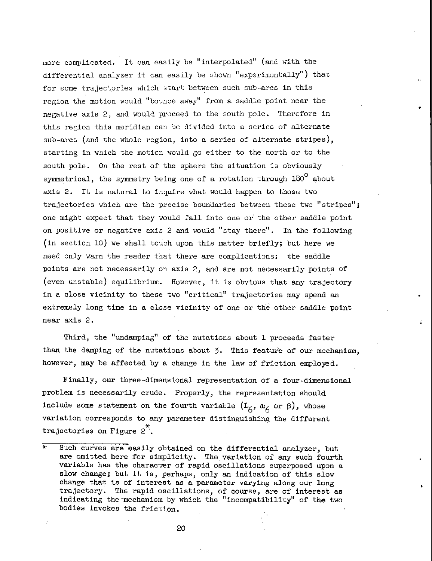more complicated. It can easily be "interpolated" (and with the differential analyzer it can easily be shown "experimentally") that for some trajectories which start between such sub-arcs in this region the motion would "bounce away" from a saddle point near the negative axis 2, and would proceed to the south pole. Therefore in this region this meridian can be divided into a series of alternate sub-arcs (and the whole region, into a series of alternate stripes), starting in which the motion would go either to the north or to the south pole. On the rest of the sphere the situation is obviously symmetrical, the symmetry being one of a rotation through  $180^{\circ}$  about axis 2. It is natural to inquire what would happen to those two trajectories which are the precise boundaries between these two "stripes"; one might expect that they would fall into one or' the other saddle point on positive or negative axis 2 and would "stay there". In the following (in section 10) we shall touch upon this matter briefly; but here we need only warn the reader that there are complications: the saddle points are not necessarily on axis 2, and are not necessarily points of (even unstable) equilibrium. However, it is obvious that any trajectory in a close vicinity to these two "critical" trajectories may spend an extremely long time in a close vicinity of one or the other saddle point near axis 2.

Third, the "undamping" of the nutations about 1 proceeds faster than the damping of the nutations about  $\zeta$ . This feature of our mechanism, however, may be affected by a change in the law of friction employed.

Finally, our three-dimensional representation of a four-dimensional problem is necessarily crude. Properly, the representation should include some statement on the fourth variable  $(L_6, \omega_6$  or  $\beta)$ , whose variation corresponds to any parameter distinguishing the different trajectories on Figure 2<sup>\*</sup>.

<sup>\*&#</sup>x27; Such curves are easily obtained on the differential analyzer, but are omitted here for simplicity. The variation of any such fourth variable has the character of rapid oscillations superposed upon a slow changej but it is, perhaps, only an indication of this slow change that is of interest as a parameter varying along our long trajectory. The rapid oscillations, of course, are of interest **as**  indicating the mechanism by which the "incompatibility" of the two bodies invokes the friction.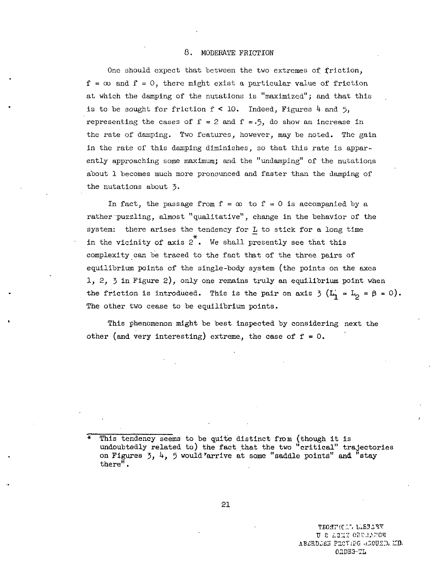### 8. MODERATE FRICTION

One should expect that between the two extremes of friction,  $f = \infty$  and  $f = 0$ , there might exist a particular value of friction at which the damping of the nutations is "maximized"; and that this is to be sought for friction f < 10. Indeed, Figures 4 and *5,*  representing the cases of  $f = 2$  and  $f = .5$ , do show an increase in the rate of damping. Two features, however, may be noted. The gain in the rate of this damping diminishes, so that this rate is apparently approaching some maximum; and the "undamping" of the nutations about 1 becomes much more pronounced and faster than the damping of the nutations about 3.

In fact, the passage from  $f = \infty$  to  $f = 0$  is accompanied by a rather-puzzling, almost "qualitative", change in the behavior of the system: there arises the tendency for  $L$  to stick for a long time in the vicinity of axis  $2^{\infty}$ . We shall presently see that this complexity can be traced to the fact that of the three pairs of equilibrium points of the single-body system (the points on the axes 1, 2, **3** in Figure 2)) only one remains truly an equilibrium point when the friction is introduced. This is the pair on axis  $3 \left( L_1 = L_2 = \beta = 0 \right)$ . The other two cease to be equilibrium points.

This phenomenon might be best inspected by considering next the other (and very interesting) extreme, the case of  $f = 0$ .

TEORIVICAL LABBARY U S ARMI OFPAANOE ABERDEEN PROVING GROUND, MD. ORDEG-TL

This tendency seems to be quite distinct from (though it is undoubtedly related to) the fact that the two "critical" trajectories on Figures  $5, 4, 5$  would arrive at some "saddle points" and "stay there".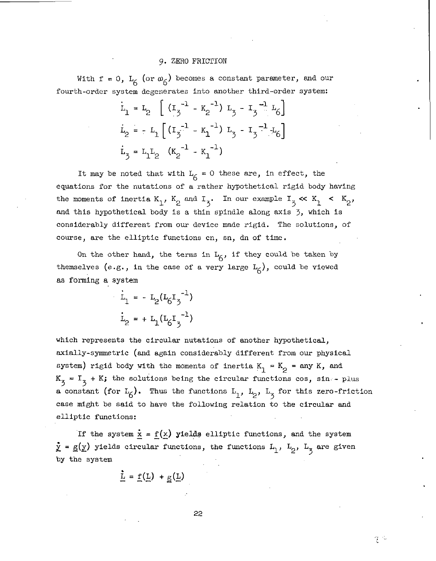# 9. ZERO FRICTION

With  $f = 0$ ,  $L_6$  (or  $\omega_6$ ) becomes a constant parameter, and our fourth-order system degenerates into another third-order system:

|  | $L_1 = L_2$ $(L_3^{-1} - K_2^{-1}) L_3 - L_3^{-1} L_6$  |  |  |  |  |
|--|---------------------------------------------------------|--|--|--|--|
|  | $i_2 = -L_1 [(I_3^{-1} - K_1^{-1}) L_3 - I_3^{-1} L_6]$ |  |  |  |  |
|  | $L_3 = L_1 L_2$ $(K_2^{-1} - K_1^{-1})$                 |  |  |  |  |

It may be noted that with  $L_6 = 0$  these are, in effect, the equations for the nutations of a rather hypothetical rigid body having the moments of inertia  $K_1$ ,  $K_2$  and  $I_3$ . In our example  $I_3 \ll K_1 \ll K_2$ , and this hypothetical body is a thin spindle along axis 3, which is considerably different from our device made rigid. The solutions, of course, are the elliptic functions cn, sn, dn of time.

On the other hand, the terms in  $L_f$ , if they could be taken by themselves (e.g., in the case of a very large  $L_f$ ), could be viewed as forming a system

$$
\dot{L}_1 = - L_2 (L_6 I_5^{-1})
$$
  

$$
\dot{L}_2 = + L_1 (L_6 I_5^{-1})
$$

which represents the circular nutations of another hypothetical, axially-symmetric (and again considerably different from our physical. system) rigid body with the moments of inertia  $K_1 = K_2$  = any K, and  $K_{\overline{3}} = I_{\overline{3}} + K$ ; the solutions being the circular functions cos, sin - plus a constant (for  $L_6$ ). Thus the functions  $L_1$ ,  $L_2$ ,  $L_3$  for this zero-friction case might be said to have the following relation to the circular and elliptic functions:

If the system  $\dot{x} = f(x)$  yields elliptic functions, and the system  $\dot{\underline{y}} = g(\underline{y})$  yields circular functions, the functions L<sub>1</sub>, L<sub>2</sub>, L<sub>3</sub> are given by the system

$$
\underline{\dot{\mathbf{L}}} = \underline{\mathbf{f}}(\underline{\mathbf{L}}) + \underline{\mathbf{g}}(\underline{\mathbf{L}})
$$

22

 $\gamma \in$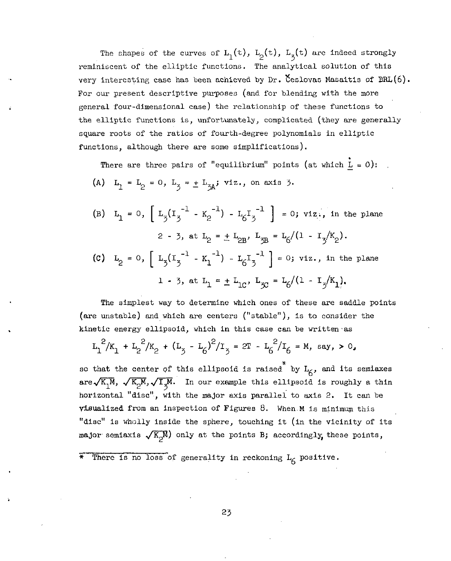The shapes of the curves of  $L_1(t)$ ,  $L_2(t)$ ,  $L_3(t)$  are indeed strongly reminiscent of the elliptic functions. The analytical solution of this very interesting case has been achieved by Dr. Ceslovas Masaitis of  $BRL(6)$ . For our present descriptive purposes (and for blending with the more general four-dimensional case) the relationship of these functions to the elliptic functions is, unfortunately, complicated (they are generally square roots of the ratios of fourth-degree polynomials in elliptic functions, although there are some simplifications).

There are three pairs of "equilibrium" points (at which  $\mathbf{L} = 0$ ): (A)  $L_1 = L_2 = 0$ ,  $L_3 = \pm L_{3A}$ ; viz., on axis 3.

(B)  $L_1 = 0$ ,  $\left[ L_3(I_3^{-1} - K_2^{-1}) - L_6I_3^{-1} \right] = 0$ ; viz., in the plane 2 - 3, at  $L_2 = \pm L_{2R}$ ,  $L_{zR} = L_6/(1 - T_7/K_2)$ . (c)  $L_2 = 0$ ,  $\left[ L_5 (I_5^{-1} - K_1^{-1}) - L_6 I_5^{-1} \right] = 0$ ; viz., in the plane 1 - 3, at  $L_1 = \pm L_{1C}$ ,  $L_{zC} = L_6/(1 - \frac{1}{3}/K_1)$ .

The simplest way to determine which ones of these are saddle points (are unstable) and which are centers ("stable"), is to consider the kinetic energy ellipsoid, which in this case can be written as

$$
L_1^2/K_1 + L_2^2/K_2 + (L_3 - L_6)^2/T_3 = 2T - L_6^2/T_6 = M
$$
, say, > 0,

so that the center of this ellipsoid is raised by  $L_{6}$ , and its semiaxes are  $\sqrt{K_1M}$ ,  $\sqrt{K_2M}$ ,  $\sqrt{I_1M}$ . In our example this ellipsoid is roughly a thin horizontal "disc", with the major axis parallel to axis 2. It can be visualized from an inspection of Figures  $8$ . When M is minimum this "disc" is wholly inside the sphere, touching it (in the vicinity of its major semiaxis  $\sqrt{K_{0}M}$ ) only at the points B; accordingly, these points,

<sup>\*</sup> There is no loss of generality in reckoning  $L_6$  positive.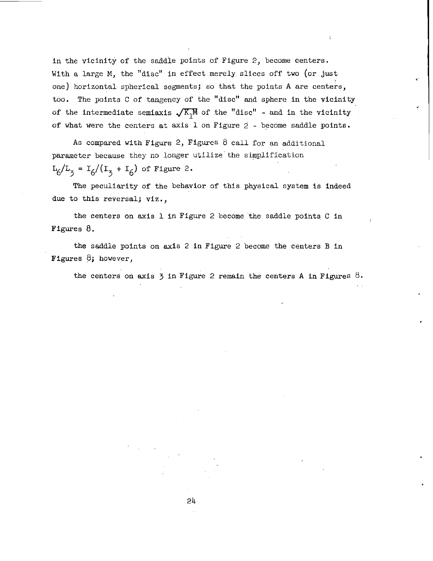in the vicinity of the saddle points of Figure 2, become centers. With a large M, the "disc" in effect merely slices off two (or just one) horizontal spherical segments; so that the points A are centers, too. The points C of tangency of the "disc" and sphere in the vicinity of the intermediate semiaxis  $\sqrt{K_{\gamma}M}$  of the "disc" - and in the vicinity of what were the centers at axis  $l$  on Figure  $2$  - become saddle points.

As compared with Figure 2, Figures  $\beta$  call for an additional parameter because they no longer utilize'the simplification  $L_6/L_7 = I_6/(I_7 + I_6)$  of Figure 2.

The peculiarity of the behavior of this physical system is indeed due to this reversal; viz.,

the centers on axis 1 in Figure 2 become the saddle points  $C$  in Figures 8.

the saddle points on axis 2 in Figure 2 become the centers B in Figures  $8$ ; however,

the centers on axis  $\tilde{\mathbf{3}}$  in Figure 2 remain the centers A in Figures  $\tilde{\mathbf{8}}$ .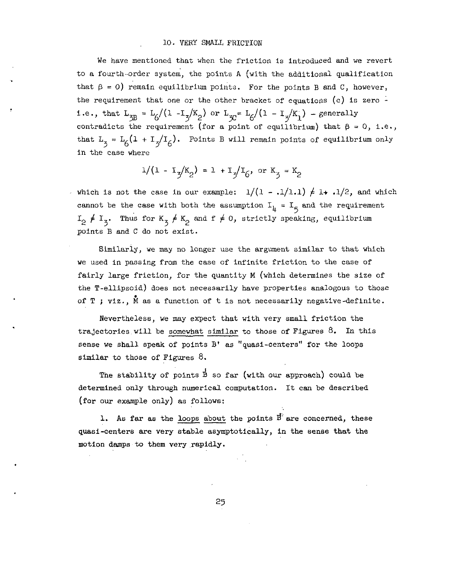### 10. VERY SMALL FRICTION

We have mentioned that when the friction is introduced and we revert to a fourth-order system, the points A (with the additional qualification that  $\beta = 0$ ) remain equilibrium points. For the points B and C, however, the requirement that one or the other bracket of equations  $(c)$  is zero i.e., that  $L_{3B} = L_6/(1 - I_3/K_2)$  or  $L_{3C} = L_6/(1 - I_3/K_1)$  - generally contradicts the requirement (for a point of equilibrium) that  $\beta = 0$ , i.e., that  $L_{\rm x} = L_{\rm g} (1 + I_{\rm x}/I_{\rm g})$ . Points B will remain points of equilibrium only in the case where

$$
1/(1 - I_3/K_2) = 1 + I_3/I_6
$$
, or  $K_3 = K_2$ 

which is not the case in our example:  $1/(1 - .1/1.1) \neq 1+ .1/2$ , and which cannot be the case with both the assumption  $I_{\mu} = I_{5}$  and the requirement  $I_2 \neq I_3$ . Thus for  $K_3 \neq K_2$  and  $f \neq 0$ , strictly speaking, equilibrium points B and C do not exist.

Similarly, we may no longer use the argument similar to that which we used in passing from the case of infinite friction to the case of fairly large friction, for the quantity M (which determines the size of the T-ellipsoid) does not necessarily have properties analogous to those of T ; viz.,  $\tilde{M}$  as a function of t is not necessarily negative-definite.

Nevertheless, we may expect that with very small friction the trajectories will be somewhat similar to those of Figures  $8$ . In this sense we shall speak of points B' as "quasi-centers" for the loops similar to those of Figures  $\delta$ .

The stability of points B so far (with our approach) could be determined only through numerical computation. It can be described (for our example only) as follows: The stability of points  $\overline{B}$  so far (with our approach) could be mined only through numerical computation. It can be described our example only) as follows:<br>1. As far as the <u>loops about</u> the points  $\overline{B}$  are conce

quasi-centers are very stable asymptotically, in the sense that the motion damps to them very rapidly.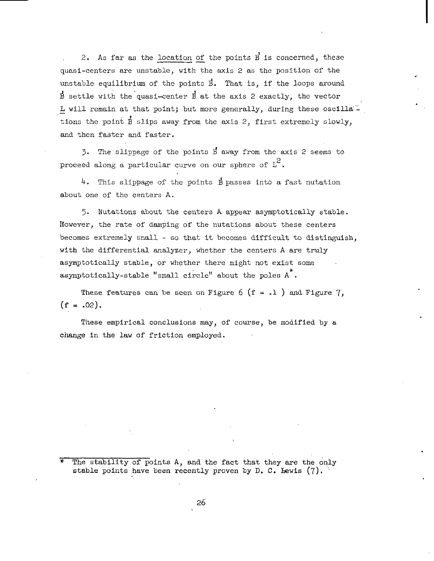2. As far as the location of the points  $\vec{B}$  is concerned, these quasi-centers are unstable, with the axis 2 as the position of the unstable equilibrium of the points  $\vec{B}$ . That is, if the loops around **6** settle with the'quasi-center \$, at the axis 2 exactly, the vector L will remain at that point; but more generally, during these oscilla<sup>-</sup>tions the point **B** slips away from the axis 2, first extremely slowly, and then faster and faster.

*3.* The slippage of the points \$ away from the axis 2 seems to proceed along a particular curve on our sphere of  $L^2$ .

4. This slippage of the points  $\frac{1}{2}$  passes into a fast nutation about one of the centers A.

5. Nutations about the centers A appear asymptotically stable. However, the rate of damping of the nutations about these centers becomes extremely small  $\sim$  so that it becomes difficult to distinguish, with the differential analyzer, whether the centers A are truly asymptotically stable, or whether there might not exist some asymptotically-stable "small circle" about the poles  $A^T$ .

These features can be seen on Figure  $6$  ( $f = .1$ ) and Figure 7,  $(f = .02)$ .

These empirical conclusions may, of course, be modified by a change in the law of friction employed.

The stability of points A, and the fact that they are the only stable points have been recently proven by  $D$ .  $C$ . **Lewis**  $(7)$ .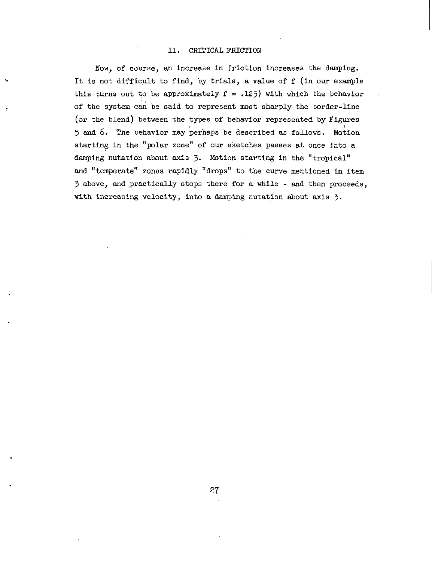# 11. CRITICAL FRICTION

Now, of course, an increase in friction increases the damping. It is not difficult to find, by trials, a value of f (in our example this turns out to be approximately  $f = .125$ ) with which the behavior of the system can be said to represent most sharply the border-line (or the blend) between the types of behavior represented by Figures  $5$  and  $6.$  The behavior may perhaps be described as follows. Motion starting in the "polar zone" of our sketches passes at once into a damping nutation about axis **3.** Motion starting in the "tropical" and "temperate" zones rapidly "drops" to the curve mentioned in item 3 above, and practically stops there for a while - and then proceeds, with increasing velocity, into a damping nutation about axis 3.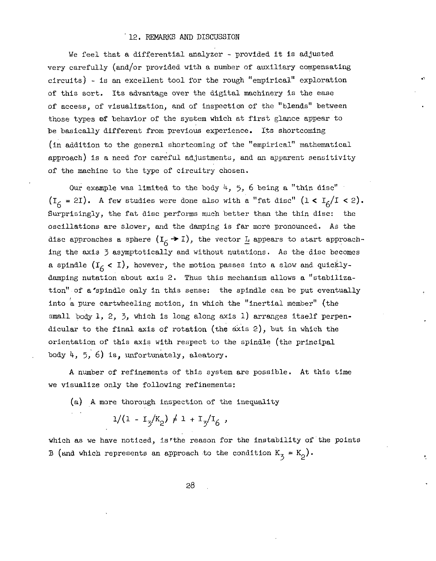## 12. REMARKS AND DISCUSSION

We feel that a differential analyzer - provided it is adjusted very carefully (and/or provided with a number of auxiliary compensating circuits) - is an excellent tool for the rough "empirical" exploration of this sort. Its advantage over the digital machinery is the ease of access, of visualization, and of inspection of the "blends" between those types of behavior of the system which at first glance appear to be basically different from previous experience. Its shortcoming (in addition to the general shortcoming of the "empirical" mathematical approach) is a need for careful adjustments, and an apparent sensitivity of the machine to the type of circuitry chosen.

Our example was limited to the body 4, *5,* 6 being a "thin disc"  $(I<sub>6</sub> = 2I)$ . A few studies were done also with a "fat disc"  $(1 < I<sub>6</sub>/I < 2)$ . Surprisingly, the fat disc performs much better than the thin disc: the oscillations are slower, and the damping is far more pronounced. As the disc approaches a sphere  $(I_{6} \rightarrow I)$ , the vector <u>L</u> appears to start approaching the axis 3 asymptotically and without nutations. As the disc becomes a spindle  $(I_6 < I)$ , however, the motion passes into a slow and quicklydamping nutation about axis 2. Thus this mechanism allows a "stabilization" of a'spindle only in this sense: the spindle can be put eventually into 'a pure cartwheeling motion, in which the "inertial member" (the small body 1, 2, 3, which is long along axis 1) arranges itself perpendicular to the final axis of rotation (the axis 2), but in which the orientation of this axis with respect to the spindle (the principal body 4, *5,* 6) is, unfortunately, aleatory.

**A** number of refinements of this system are possible. At this time we visualize only the following refinements:

(a) A more thorough inspection of the inequality

$$
1/(1 - I_3/K_2) \neq 1 + I_3/I_6
$$
,

which as we have noticed, is the reason for the instability of the points B (and which represents an approach to the condition  $K_{\alpha} = K_{\alpha}$ ).

28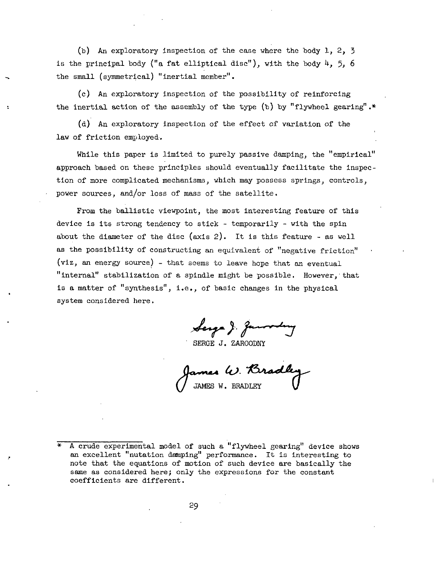(b) An exploratory inspection of the case where the body **1,** 2, **3**  is the principal body ("a fat elliptical disc"), with the body 4, 5, *6*  the small (symmetrical) "inertial member".

(c) An exploratory inspection of the possibility of reinforcing the inertial action of the assembly of the type (b) by "flywheel gearing" .\*

(d) An exploratory inspection of the effect of variation of the law of friction employed.

While this paper is limited to purely passive damping, the "empirical" approach based on these principles should eventually facilitate the inspection of more complicated mechanisms, which may possess springs, controls, power sources, and/or loss of mass of the satellite.

From the ballistic viewpoint, the most interesting feature of this device is its strong tendency to stick - temporarily - with the spin about the diameter of the disc (axis 2). It is this feature  $-$  as well as the possibility of constructing an equivalent of "negative friction" (viz, an energy source) - that seems to leave hope that an eventual "internal" stabilization of a spindle might be possible. However, that is a matter of "synthesis", i.e., of basic changes in the physical system considered here.

Serge J. Jun

**SERGE J.** ZAROODNY

ames W. Bradley

A crude experimental model of such a "flywheel gearing" device shows an excellent "nutation damping" performance. It is interesting to note that the equations of motion of such device are basically the same as considered here; only the expressions for the constant coefficients are different.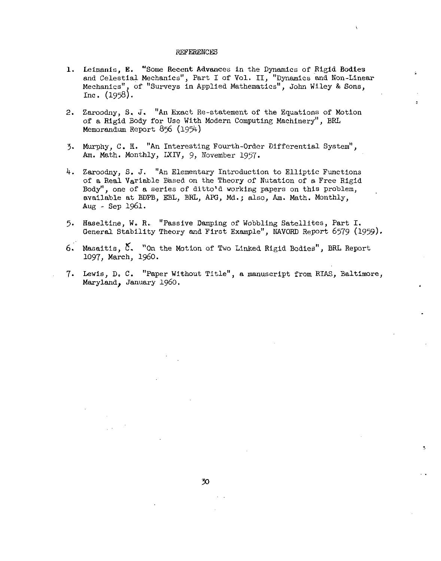### REFERENCES

- **1.** Leimanis, E. "Some Recent Advances in the Dynamics of Rigid Bodies and Celestial Mechanics", Part I of Vol. **11,** "Dynamics and Non-Linear Mechanics", of "Surveys in Applied Mathematics", John Wiley & Sons, Inc.  $(1958)$ .
- 2. Zaroodny, **S.** J. "An Exact Re-statement of the Equations of Motion of a Rigid Body for Use With Modern Computing Machinery", ERL Memorandum Report *856* (1954)
- **3.** Murphy, C . H. **"An** Interesting Fourth-Order Differential System", Am. Math. Monthly, LXIV, 9, November 1957.
- 4. Zaroodny, S. J. "An Elementary Introduction to Elliptic Functions of a Real Variable Based on the Theory of Nutation of a Free Rigid Body", one of a series of ditto'd working papers on this problem, available at BDPB, EBL, BRL, APG, Md.; also, Am. Math. Monthly, Aug - Sep 1961.
- 5. Haseltine, W. R. "Passive Damping of Wobbling Satellites, Part I. General Stability Theory and First Example", NAVORD Report 6579 (1959).
- *6.'* Masaitis, *E.* "On the Motion of Two Linked Rigid Bodies'" ERR Report 1097, March, 1960.
- 7. Lewis, **D.** C. "Paper Without Title", a manuscript from RIAS, Baltimore, Maryland, January 1960.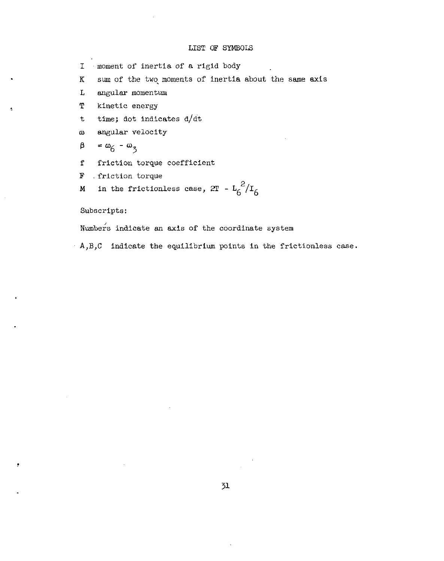# LIST OF SYMBOLS

I moment of inertia of a rigid body

sum of the two moments of inertia about the same axis  $\bf K$ 

 $\mathbf{L}$ angular momentum

 $\mathbf T$ kinetic energy

time; dot indicates d/dt  $t$ 

angular velocity  $\omega$ 

 $= \omega_6 - \omega_3$ β

ă

friction torque coefficient f

 $\mathbf F$ friction torque

in the frictionless case,  $2T - L_6^2/L_6$ M

Subscripts:

Numbers indicate an axis of the coordinate system

A,B,C indicate the equilibrium points in the frictionless case.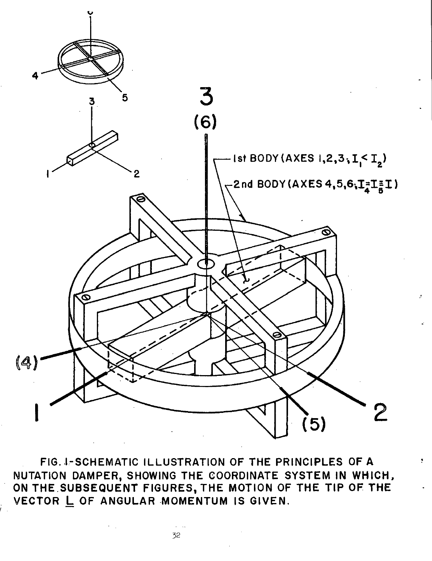

**FIG. (I-SCHEMATIC ILLUSTRATION OF THE PRINCIPLES OF A MUTATION DAMPER, SHOWING THE COORDINATE SYSTEM IN WHICH, ON THE SUBSEQUENT FIGURES, THE MOTION OF THE TIP OF THE**<br>VECTOR L OF ANGULAR MOMENTUM IS GIVEN.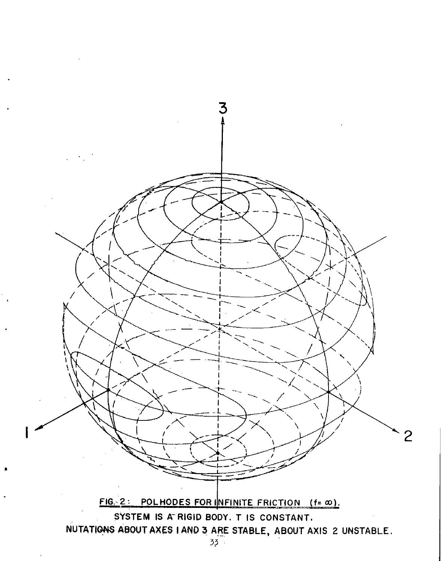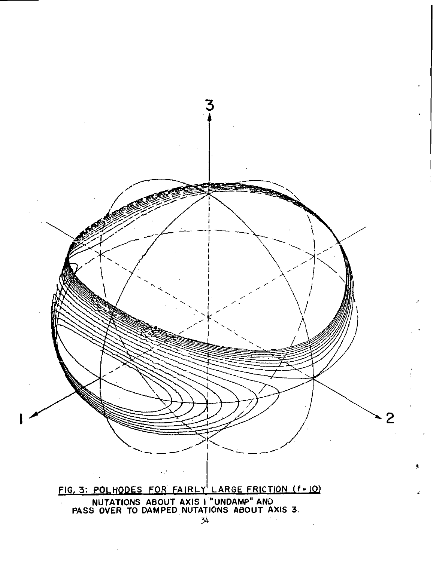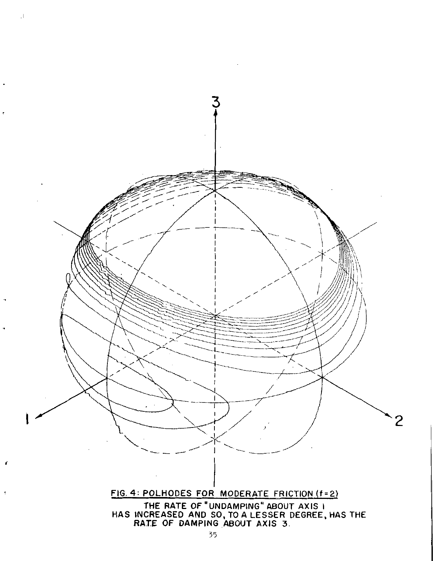

 $\overline{\phantom{0}}$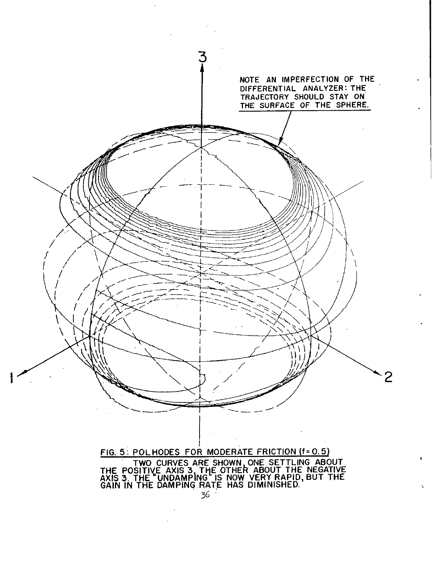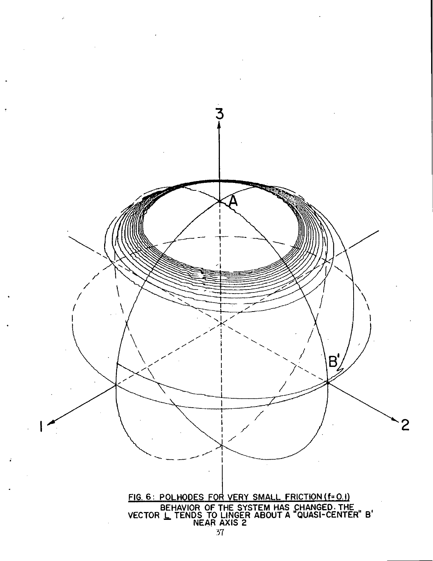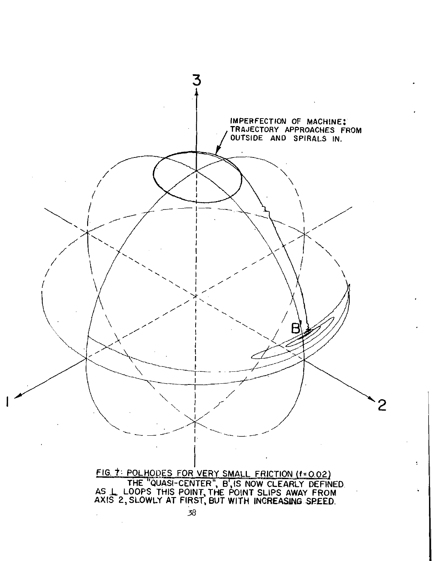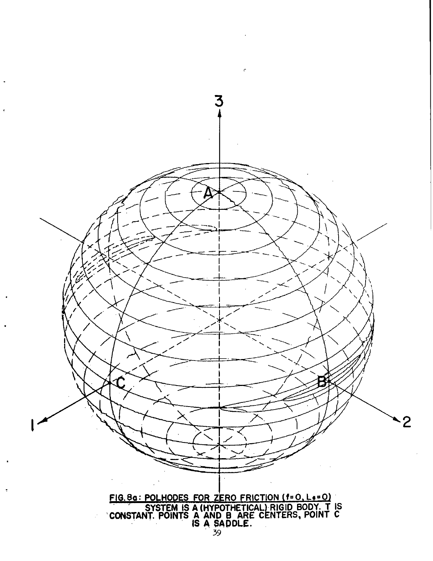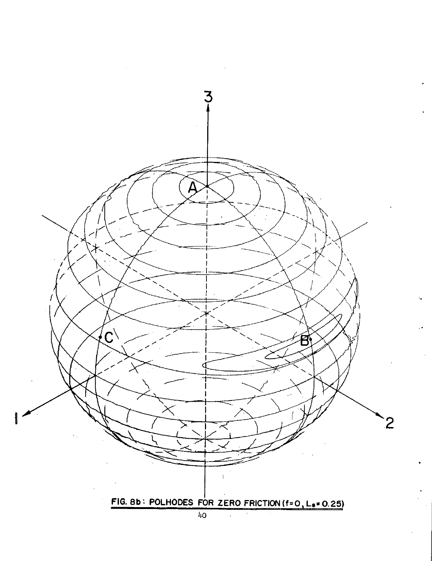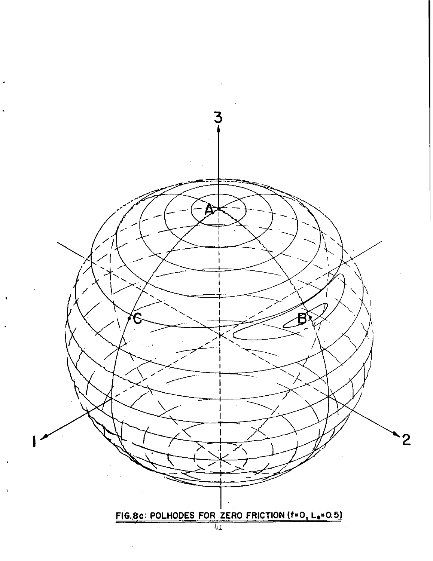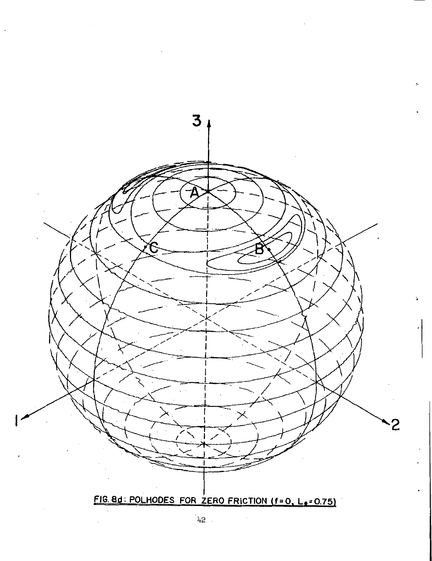

 $42<sub>1</sub>$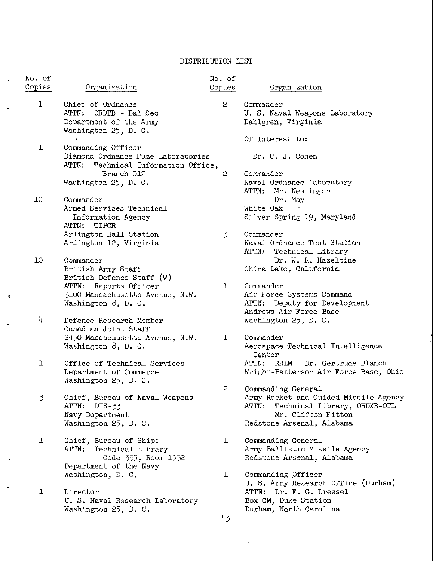# DISTRIBWION LIST

| No. of<br>Copies | Organization                                                                                          | No. of<br>Copies | Organization                                                                                                                                            |
|------------------|-------------------------------------------------------------------------------------------------------|------------------|---------------------------------------------------------------------------------------------------------------------------------------------------------|
| ı.               | Chief of Ordnance<br>ATTN: ORDTB - Bal Sec<br>Department of the Army<br>Washington 25, D. C.          | $\mathsf{2}^-$   | Commander<br>U. S. Naval Weapons Laboratory<br>Dahlgren, Virginia                                                                                       |
| ı                | Commanding Officer<br>Diamond Ordnance Fuze Laboratories                                              |                  | Of Interest to:<br>Dr. C. J. Cohen                                                                                                                      |
|                  | ATTN: Technical Information Office,<br>Branch 012                                                     | $\mathbf{2}$     | Commander                                                                                                                                               |
|                  | Washington 25, D. C.                                                                                  |                  | Naval Ordnance Laboratory<br>ATTN: Mr. Nestingen                                                                                                        |
| 10               | Commander<br>Armed Services Technical<br>Information Agency<br>ATTN: TIPCR                            |                  | Dr. May<br>White Oak<br>Silver Spring 19, Maryland                                                                                                      |
|                  | Arlington Hall Station<br>Arlington 12, Virginia                                                      | $\overline{3}$   | Commander<br>Naval Ordnance Test Station<br>ATTN:<br>Technical Library                                                                                  |
| 10               | Commander<br>British Army Staff<br>British Defence Staff (W)                                          |                  | Dr. W. R. Hazeltine<br>China Lake, California                                                                                                           |
|                  | ATTN: Reports Officer<br>3100 Massachusetts Avenue, N.W.<br>Washington $8$ , D. C.                    | $\mathbf{L}$     | Commander<br>Air Force Systems Command<br>ATTN: Deputy for Development<br>Andrews Air Force Base                                                        |
| 4                | Defence Research Member<br>Canadian Joint Staff                                                       |                  | Washington 25, D. C.                                                                                                                                    |
|                  | 2450 Massachusetts Avenue, N.W.<br>Washington $\theta$ , D. C.                                        | $\mathbf{1}$     | Commander<br>Aerospace Technical Intelligence<br>Center                                                                                                 |
| ı                | Office of Technical Services<br>Department of Commerce<br>Washington 25, D. C.                        |                  | ATTN: RRIM - Dr. Gertrude Blanch<br>Wright-Patterson Air Force Base, Ohio                                                                               |
| 3                | Chief, Bureau of Naval Weapons<br>ATTN: DIS-33<br>Navy Department<br>Washington 25, D. C.             | $\mathbf{c}$     | Commanding General<br>Army Rocket and Guided Missile Agency<br>ATTN:<br>Technical Library, ORDXR-OTL<br>Mr. Clifton Fitton<br>Redstone Arsenal, Alabama |
| ı                | Chief, Bureau of Ships<br>ATTN:<br>Technical Library<br>Code 335, Room 1532<br>Department of the Navy | $\perp$          | Commanding General<br>Army Ballistic Missile Agency<br>Redstone Arsenal, Alabama                                                                        |
|                  | Washington, D. C.                                                                                     | ı.               | Commanding Officer<br>U. S. Army Research Office (Durham)                                                                                               |
| ı                | Director<br>U. S. Naval Research Laboratory                                                           |                  | ATTN: Dr. F. G. Dressel<br>Box CM, Duke Station                                                                                                         |

U. S. Naval Research Laboratory Washington 25, D. C.

 $\mathcal{A}$ 

à.

 $\ddot{\phantom{1}}$ 

 $\bullet$ 

 $\cdot$ 

43

Durham, North Carolina

 $\ddot{\phantom{0}}$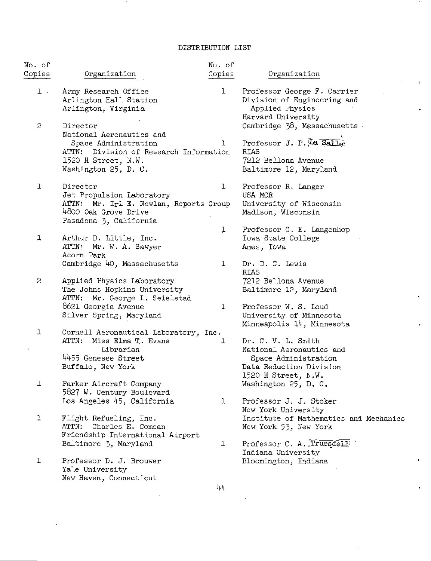# DISTRIBUTION LIST

 $\mathbf{r}$ 

| No. of<br>Copies | Organization                                                                                                     | No. of<br>Copies | Organization                                                                                        |
|------------------|------------------------------------------------------------------------------------------------------------------|------------------|-----------------------------------------------------------------------------------------------------|
| $1$ .            | Army Research Office<br>Arlington Hall Station<br>Arlington, Virginia                                            | $\mathbf{1}$     | Professor George F. Carrier<br>Division of Engineering and<br>Applied Physics<br>Harvard University |
| 2                | Director<br>National Aeronautics and                                                                             |                  | Cambridge $38$ , Massachusetts.                                                                     |
|                  | Space Administration<br>Division of Research Information<br>ATTN:<br>1520 H Street, N.W.<br>Washington 25, D. C. | ı                | Professor J. P. La Salle<br>RIAS<br>7212 Bellona Avenue<br>Baltimore 12, Maryland                   |
| ı                | Director                                                                                                         | ı                | Professor R. Langer                                                                                 |
|                  | Jet Propulsion Laboratory<br>ATTN: Mr. Irl E. Newlan, Reports Group                                              |                  | USA MCR<br>University of Wisconsin                                                                  |
|                  | 4800 Oak Grove Drive<br>Pasadena 3, California                                                                   |                  | Madison, Wisconsin                                                                                  |
| ı                | Arthur D. Little, Inc.<br>ATTN: Mr. W. A. Sawyer<br>Acorn Park                                                   | ı.               | Professor C. E. Langenhop<br>Iowa State College<br>Ames, Iowa                                       |
|                  | Cambridge 40, Massachusetts                                                                                      | ı                | Dr. D. C. Lewis<br>RIAS                                                                             |
| 2                | Applied Physics Laboratory<br>The Johns Hopkins University<br>ATTN: Mr. George L. Seielstad                      |                  | 7212 Bellona Avenue<br>Baltimore 12, Maryland                                                       |
|                  | 8621 Georgia Avenue<br>Silver Spring, Maryland                                                                   | ı                | Professor W. S. Loud<br>University of Minnesota<br>Minneapolis 14, Minnesota                        |
| ı                | Cornell Aeronautical Laboratory, Inc.                                                                            |                  |                                                                                                     |
|                  | ATTN:<br>Miss Elma T. Evans<br>Librarian                                                                         | T                | Dr. C. V. L. Smith<br>National Aeronautics and                                                      |
|                  | 4455 Genesee Street<br>Buffalo, New York                                                                         |                  | Space Administration<br>Data Reduction Division                                                     |
| T                | Parker Aircraft Company                                                                                          |                  | 1520 H Street, N.W.<br>Washington 25, D. C.                                                         |
|                  | 5827 W. Century Boulevard<br>Los Angeles 45, California                                                          | ı                | Professor J. J. Stoker                                                                              |
|                  |                                                                                                                  |                  | New York University                                                                                 |
| ı                | Flight Refueling, Inc.<br>ATTN: Charles E. Comean<br>Friendship International Airport                            |                  | Institute of Mathematics and Mechanics<br>New York 53, New York                                     |
|                  | Baltimore 3, Maryland                                                                                            | ı.               | Professor C. A. Truesdell                                                                           |

 $\mathbf{1}$ Professor D. J. Brouwer Yale University New Haven, Connecticut

44

Indiana University Bloomington, Indiana